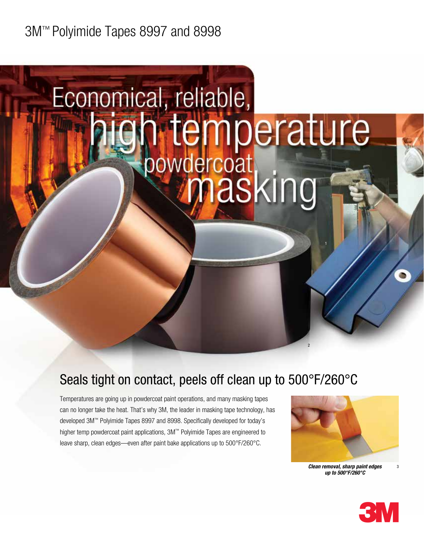## 3M™ Polyimide Tapes 8997 and 8998

# Economical, reliable, h temperature<br>bowdercoat<br>V masking

## Seals tight on contact, peels off clean up to 500°F/260°C

Temperatures are going up in powdercoat paint operations, and many masking tapes can no longer take the heat. That's why 3M, the leader in masking tape technology, has developed 3M™ Polyimide Tapes 8997 and 8998. Specifically developed for today's higher temp powdercoat paint applications, 3M™ Polyimide Tapes are engineered to leave sharp, clean edges—even after paint bake applications up to 500°F/260°C.



2

*Clean removal, sharp paint edges up to 500°F/260°C*



3